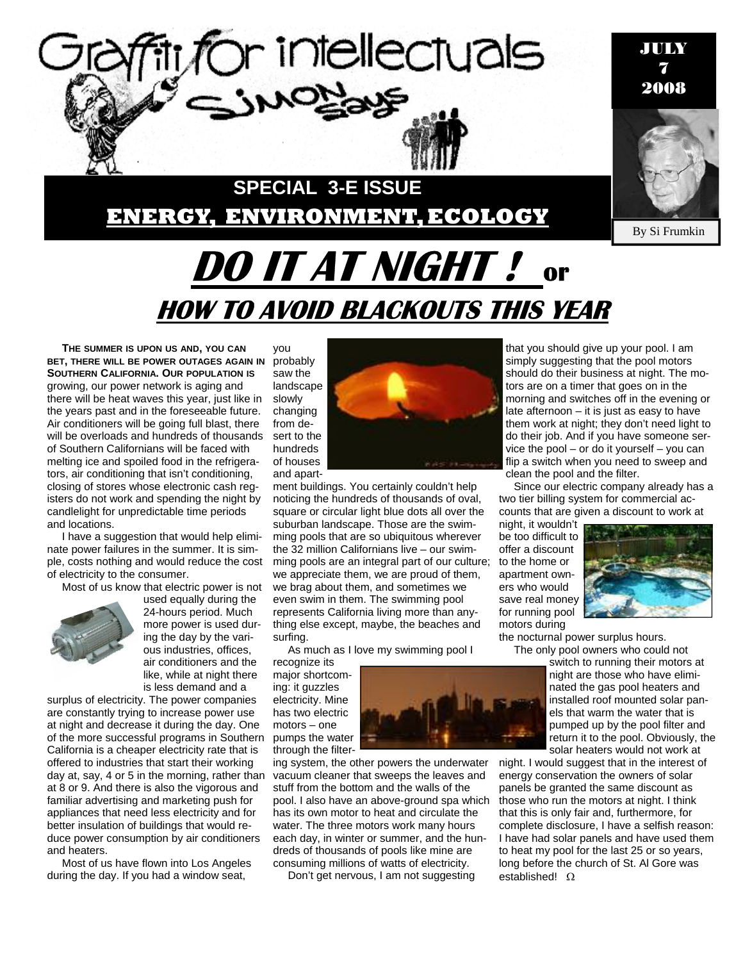

**THE SUMMER IS UPON US AND, YOU CAN BET, THERE WILL BE POWER OUTAGES AGAIN IN** probably **SOUTHERN CALIFORNIA. OUR POPULATION IS** growing, our power network is aging and there will be heat waves this year, just like in the years past and in the foreseeable future. Air conditioners will be going full blast, there will be overloads and hundreds of thousands of Southern Californians will be faced with melting ice and spoiled food in the refrigerators, air conditioning that isn't conditioning, closing of stores whose electronic cash registers do not work and spending the night by candlelight for unpredictable time periods and locations.

I have a suggestion that would help eliminate power failures in the summer. It is simple, costs nothing and would reduce the cost of electricity to the consumer.

Most of us know that electric power is not



used equally during the 24-hours period. Much more power is used during the day by the various industries, offices, air conditioners and the like, while at night there is less demand and a

surplus of electricity. The power companies are constantly trying to increase power use at night and decrease it during the day. One of the more successful programs in Southern California is a cheaper electricity rate that is offered to industries that start their working day at, say, 4 or 5 in the morning, rather than at 8 or 9. And there is also the vigorous and familiar advertising and marketing push for appliances that need less electricity and for better insulation of buildings that would reduce power consumption by air conditioners and heaters.

Most of us have flown into Los Angeles during the day. If you had a window seat,

you saw the landscape slowly changing from desert to the hundreds of houses and apart-



ment buildings. You certainly couldn't help noticing the hundreds of thousands of oval, square or circular light blue dots all over the suburban landscape. Those are the swimming pools that are so ubiquitous wherever the 32 million Californians live – our swimming pools are an integral part of our culture; we appreciate them, we are proud of them, we brag about them, and sometimes we even swim in them. The swimming pool represents California living more than anything else except, maybe, the beaches and surfing.

As much as I love my swimming pool I

recognize its major shortcoming: it guzzles electricity. Mine has two electric motors – one pumps the water through the filter-

ing system, the other powers the underwater vacuum cleaner that sweeps the leaves and stuff from the bottom and the walls of the pool. I also have an above-ground spa which has its own motor to heat and circulate the water. The three motors work many hours each day, in winter or summer, and the hundreds of thousands of pools like mine are consuming millions of watts of electricity.

Don't get nervous, I am not suggesting

that you should give up your pool. I am simply suggesting that the pool motors should do their business at night. The motors are on a timer that goes on in the morning and switches off in the evening or late afternoon – it is just as easy to have them work at night; they don't need light to do their job. And if you have someone service the pool – or do it yourself – you can flip a switch when you need to sweep and clean the pool and the filter.

Since our electric company already has a two tier billing system for commercial accounts that are given a discount to work at

night, it wouldn't be too difficult to offer a discount to the home or apartment owners who would save real money for running pool motors during



the nocturnal power surplus hours. The only pool owners who could not

> switch to running their motors at night are those who have eliminated the gas pool heaters and installed roof mounted solar panels that warm the water that is pumped up by the pool filter and return it to the pool. Obviously, the solar heaters would not work at

night. I would suggest that in the interest of energy conservation the owners of solar panels be granted the same discount as those who run the motors at night. I think that this is only fair and, furthermore, for complete disclosure, I have a selfish reason: I have had solar panels and have used them to heat my pool for the last 25 or so years, long before the church of St. Al Gore was established! Ω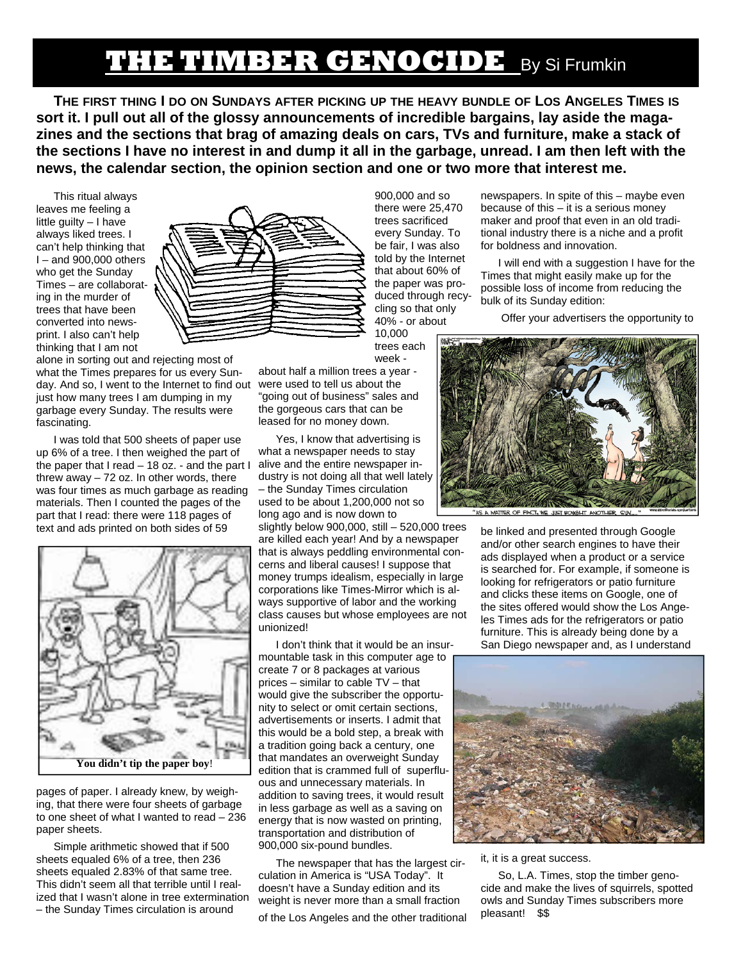# **THE TIMBER GENOCIDE** By Si Frumkin

**THE FIRST THING I DO ON SUNDAYS AFTER PICKING UP THE HEAVY BUNDLE OF LOS ANGELES TIMES IS sort it. I pull out all of the glossy announcements of incredible bargains, lay aside the magazines and the sections that brag of amazing deals on cars, TVs and furniture, make a stack of the sections I have no interest in and dump it all in the garbage, unread. I am then left with the news, the calendar section, the opinion section and one or two more that interest me.** 

This ritual always leaves me feeling a little guilty – I have always liked trees. I can't help thinking that I – and 900,000 others who get the Sunday Times – are collaborating in the murder of trees that have been converted into newsprint. I also can't help thinking that I am not

alone in sorting out and rejecting most of what the Times prepares for us every Sunday. And so, I went to the Internet to find out just how many trees I am dumping in my garbage every Sunday. The results were fascinating.

I was told that 500 sheets of paper use up 6% of a tree. I then weighed the part of the paper that I read – 18 oz. - and the part I threw away  $-72$  oz. In other words, there was four times as much garbage as reading materials. Then I counted the pages of the part that I read: there were 118 pages of text and ads printed on both sides of 59



pages of paper. I already knew, by weighing, that there were four sheets of garbage to one sheet of what I wanted to read – 236 paper sheets.

Simple arithmetic showed that if 500 sheets equaled 6% of a tree, then 236 sheets equaled 2.83% of that same tree. This didn't seem all that terrible until I realized that I wasn't alone in tree extermination – the Sunday Times circulation is around



900,000 and so there were 25,470 trees sacrificed every Sunday. To be fair, I was also told by the Internet that about 60% of the paper was produced through recycling so that only 40% - or about 10,000

trees each week -

about half a million trees a year were used to tell us about the "going out of business" sales and the gorgeous cars that can be leased for no money down.

Yes, I know that advertising is what a newspaper needs to stay alive and the entire newspaper industry is not doing all that well lately – the Sunday Times circulation used to be about 1,200,000 not so long ago and is now down to

slightly below 900,000, still – 520,000 trees are killed each year! And by a newspaper that is always peddling environmental concerns and liberal causes! I suppose that money trumps idealism, especially in large corporations like Times-Mirror which is always supportive of labor and the working class causes but whose employees are not unionized!

I don't think that it would be an insurmountable task in this computer age to create 7 or 8 packages at various prices – similar to cable TV – that would give the subscriber the opportunity to select or omit certain sections, advertisements or inserts. I admit that this would be a bold step, a break with a tradition going back a century, one that mandates an overweight Sunday edition that is crammed full of superfluous and unnecessary materials. In addition to saving trees, it would result in less garbage as well as a saving on energy that is now wasted on printing, transportation and distribution of 900,000 six-pound bundles.

The newspaper that has the largest circulation in America is "USA Today". It doesn't have a Sunday edition and its weight is never more than a small fraction

of the Los Angeles and the other traditional

newspapers. In spite of this – maybe even because of this – it is a serious money maker and proof that even in an old traditional industry there is a niche and a profit for boldness and innovation.

I will end with a suggestion I have for the Times that might easily make up for the possible loss of income from reducing the bulk of its Sunday edition:

Offer your advertisers the opportunity to



be linked and presented through Google and/or other search engines to have their ads displayed when a product or a service is searched for. For example, if someone is looking for refrigerators or patio furniture and clicks these items on Google, one of the sites offered would show the Los Angeles Times ads for the refrigerators or patio

furniture. This is already being done by a San Diego newspaper and, as I understand



#### it, it is a great success.

So, L.A. Times, stop the timber genocide and make the lives of squirrels, spotted owls and Sunday Times subscribers more pleasant! \$\$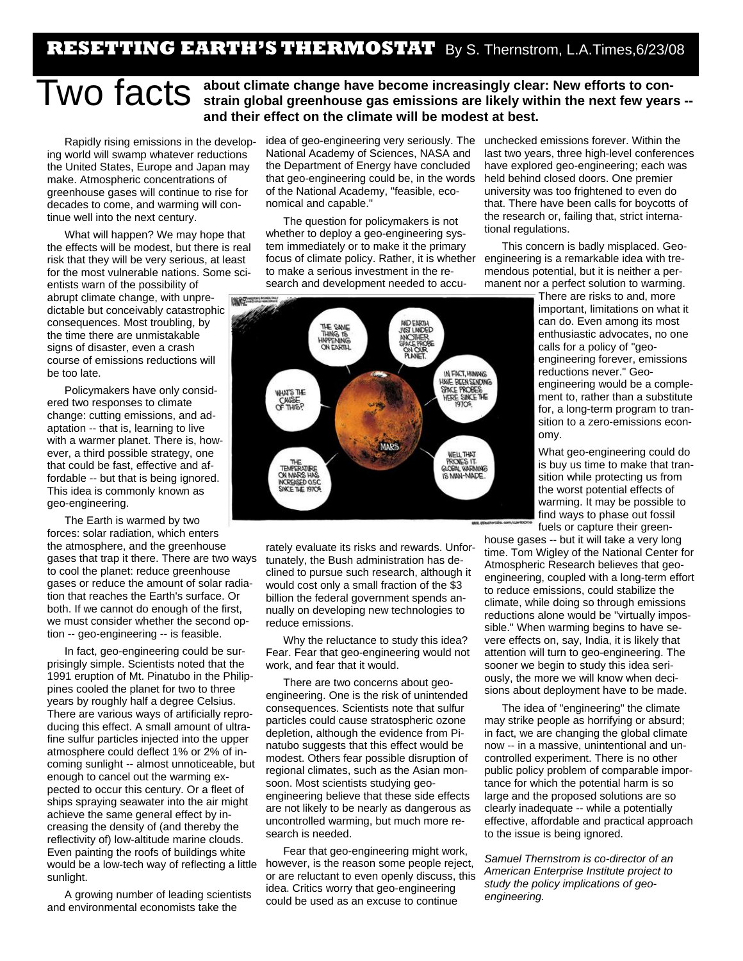### **RESETTING EARTH'S THERMOSTAT** By S. Thernstrom, L.A.Times,6/23/08

## **TWO facts** about climate change have become increasingly clear: New efforts to con-<br> **TWO facts** strain global greenhouse gas emissions are likely within the next few years -**and their effect on the climate will be modest at best.**

Rapidly rising emissions in the developing world will swamp whatever reductions the United States, Europe and Japan may make. Atmospheric concentrations of greenhouse gases will continue to rise for decades to come, and warming will continue well into the next century.

What will happen? We may hope that the effects will be modest, but there is real risk that they will be very serious, at least for the most vulnerable nations. Some scientists warn of the possibility of abrupt climate change, with unpredictable but conceivably catastrophic consequences. Most troubling, by the time there are unmistakable signs of disaster, even a crash course of emissions reductions will be too late.

Policymakers have only considered two responses to climate change: cutting emissions, and adaptation -- that is, learning to live with a warmer planet. There is, however, a third possible strategy, one that could be fast, effective and affordable -- but that is being ignored. This idea is commonly known as geo-engineering.

The Earth is warmed by two forces: solar radiation, which enters the atmosphere, and the greenhouse gases that trap it there. There are two ways to cool the planet: reduce greenhouse gases or reduce the amount of solar radiation that reaches the Earth's surface. Or both. If we cannot do enough of the first, we must consider whether the second option -- geo-engineering -- is feasible.

In fact, geo-engineering could be surprisingly simple. Scientists noted that the 1991 eruption of Mt. Pinatubo in the Philippines cooled the planet for two to three years by roughly half a degree Celsius. There are various ways of artificially reproducing this effect. A small amount of ultrafine sulfur particles injected into the upper atmosphere could deflect 1% or 2% of incoming sunlight -- almost unnoticeable, but enough to cancel out the warming expected to occur this century. Or a fleet of ships spraying seawater into the air might achieve the same general effect by increasing the density of (and thereby the reflectivity of) low-altitude marine clouds. Even painting the roofs of buildings white would be a low-tech way of reflecting a little however, is the reason some people reject, sunlight.

A growing number of leading scientists and environmental economists take the

idea of geo-engineering very seriously. The National Academy of Sciences, NASA and the Department of Energy have concluded that geo-engineering could be, in the words of the National Academy, "feasible, economical and capable."

The question for policymakers is not whether to deploy a geo-engineering system immediately or to make it the primary focus of climate policy. Rather, it is whether to make a serious investment in the research and development needed to accu-



rately evaluate its risks and rewards. Unfortunately, the Bush administration has declined to pursue such research, although it would cost only a small fraction of the \$3 billion the federal government spends annually on developing new technologies to reduce emissions.

Why the reluctance to study this idea? Fear. Fear that geo-engineering would not work, and fear that it would.

There are two concerns about geoengineering. One is the risk of unintended consequences. Scientists note that sulfur particles could cause stratospheric ozone depletion, although the evidence from Pinatubo suggests that this effect would be modest. Others fear possible disruption of regional climates, such as the Asian monsoon. Most scientists studying geoengineering believe that these side effects are not likely to be nearly as dangerous as uncontrolled warming, but much more research is needed.

Fear that geo-engineering might work, or are reluctant to even openly discuss, this idea. Critics worry that geo-engineering could be used as an excuse to continue

unchecked emissions forever. Within the last two years, three high-level conferences have explored geo-engineering; each was held behind closed doors. One premier university was too frightened to even do that. There have been calls for boycotts of the research or, failing that, strict international regulations.

This concern is badly misplaced. Geoengineering is a remarkable idea with tremendous potential, but it is neither a permanent nor a perfect solution to warming.

> There are risks to and, more important, limitations on what it can do. Even among its most enthusiastic advocates, no one calls for a policy of "geoengineering forever, emissions reductions never." Geoengineering would be a complement to, rather than a substitute for, a long-term program to transition to a zero-emissions economy.

> What geo-engineering could do is buy us time to make that transition while protecting us from the worst potential effects of warming. It may be possible to find ways to phase out fossil fuels or capture their green-

house gases -- but it will take a very long time. Tom Wigley of the National Center for Atmospheric Research believes that geoengineering, coupled with a long-term effort to reduce emissions, could stabilize the climate, while doing so through emissions reductions alone would be "virtually impossible." When warming begins to have severe effects on, say, India, it is likely that attention will turn to geo-engineering. The sooner we begin to study this idea seriously, the more we will know when decisions about deployment have to be made.

The idea of "engineering" the climate may strike people as horrifying or absurd; in fact, we are changing the global climate now -- in a massive, unintentional and uncontrolled experiment. There is no other public policy problem of comparable importance for which the potential harm is so large and the proposed solutions are so clearly inadequate -- while a potentially effective, affordable and practical approach to the issue is being ignored.

*Samuel Thernstrom is co-director of an American Enterprise Institute project to study the policy implications of geoengineering.*